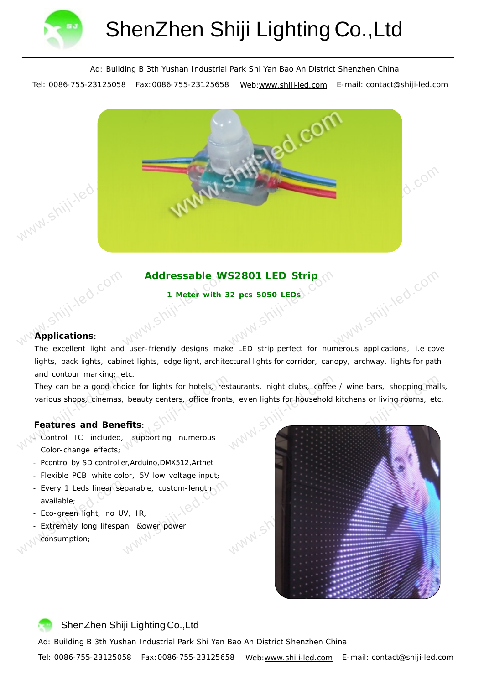

Ad: Building B 3th Yushan Industrial Park Shi Yan Bao An District Shenzhen China

Tel: 0086-755-23125058 Fax: 0086-755-23125658 Web:www.shiji-led.com E-mail: contact@shiji-led.com



# Addressable WS2801 LED Strip<sub>p</sub>

**1 Meter with 32 pcs 5050 LEDs**

### **Applications**:

shiji-led.com

www.shiji-led.com The excellent light and user-friendly designs make LED strip perfect for numerous applications, i.e cove lights, back lights, cabinet lights, edge light, architectural lights for corridor, canopy, archway, lights for path and contour marking; etc.

They can be a good choor<br>various shops, cinemas,<br>Features and Bene<br>- Control IC included, bice for lights for hotels, restaurants, night clubs, coffee / wine bars, shopping mall<br>beauty centers, office fronts, even lights for household kitchens or living rooms, etc.<br>effts:<br>supporting numerous They can be a good choice for lights for hotels, restaurants, night clubs, coffee / wine bars, shopping malls, various shops, cinemas, beauty centers, office fronts, even lights for household kitchens or living rooms, etc.

#### **Fea t ures and Benefits** :

-Control IC included, supporting numerous Color-change effects;

- Pcontrol by SD controller,Arduino,DMX512,Artnet
- Flexible PCB white color, 5V low voltage input;
- Maria Comparable, custom-length<br>Maria Comparation Comparation Comparation Comparation Comparation Comparation Comparation Comparation Comparation Comparation Comparation Comparation Comparation Comparation Comparation Comp - Every 1 Leds linear separable, custom-length available;
- Eco-green light, no UV, IR;
- Every 1 Leds linear se<br>available;<br>- Eco-green light, no U'<br>- Extremely long lifespa<br>consumption; - Extremely long lifespan & lower power consumption;



## ShenZhen Shiji Lighting Co.,Ltd

Ad: Building B 3th Yushan Industrial Park Shi Yan Bao An District Shenzhen China

Tel: 0086-755-23125058 Fax: 0086-755-23125658 Web:www.shiji-led.com E-mail: contact@shiji-led.com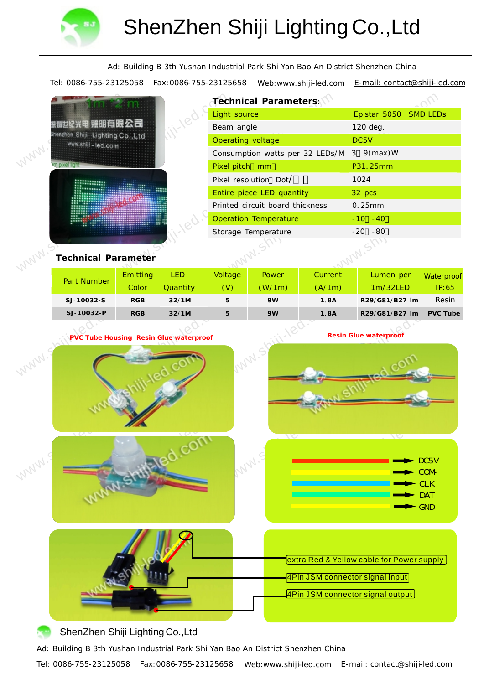

**羅順<br>Shenzh**<br>WWW.

ww.

Ad: Building B 3th Yushan Industrial Park Shi Yan Bao An District Shenzhen China

Tel: 0086-755-23125058 Fax: 0086-755-23125658 Web: www.shiji-led.com E-mail: contact@shiji-led.com

|                                                 |  | Technical Parameters:           |                                 |      |                       |             |  |  |
|-------------------------------------------------|--|---------------------------------|---------------------------------|------|-----------------------|-------------|--|--|
|                                                 |  | Light source                    |                                 |      | Epistar 5050 SMD LEDs |             |  |  |
|                                                 |  | Beam angle                      |                                 |      | 120 deg.              |             |  |  |
| n Shiji Lighting Co., Ltd<br>ww.shiji - led.com |  | Operating voltage               |                                 |      | DC5V                  |             |  |  |
|                                                 |  |                                 | Consumption watts per 32 LEDs/M |      |                       | 3 $9(max)W$ |  |  |
|                                                 |  | Pixel pitch mm                  |                                 |      | P31.25mm              |             |  |  |
|                                                 |  | Pixel resolution Dot/           |                                 |      |                       | 1024        |  |  |
|                                                 |  | Entire piece LED quantity       |                                 |      |                       | 32 pcs      |  |  |
|                                                 |  | Printed circuit board thickness |                                 |      |                       | 0.25mm      |  |  |
|                                                 |  | <b>Operation Temperature</b>    |                                 |      | $-10 - 40$            |             |  |  |
|                                                 |  | Storage Temperature             |                                 |      | $-20 - 80$            |             |  |  |
| chnical Parameter                               |  |                                 |                                 | W.SI |                       |             |  |  |
|                                                 |  |                                 |                                 |      |                       |             |  |  |

**Technical Parameter**

| <b>Part Number</b> | <b>Emitting</b> | <b>LED</b>                             |                       | <b>Power</b> | Current | Lumen per      | Waterproof      |
|--------------------|-----------------|----------------------------------------|-----------------------|--------------|---------|----------------|-----------------|
|                    | Color           | Quantity                               | (V)                   | (W/1m)       | (A/1m)  | 1m/32LED       | IP:65           |
| SJ-10032-S         | <b>RGB</b>      | 32/1M                                  | 5                     | 9W           | 1.8A    | R29/G81/B27 Im | Resin           |
| SJ-10032-P         | <b>RGB</b>      | 32/1M                                  | 5                     | 9W           | 1.8A    | R29/G81/B27 Im | <b>PVC Tube</b> |
|                    |                 | PVC Tube Housing Resin Glue waterproof | Resin Glue waterproof |              |         |                |                 |
|                    |                 |                                        |                       |              |         |                |                 |







**extra Red & Yellow cable for Power supply** 

4Pin JSM connector signal input

4Pin JSM connector signal output

# ShenZhen Shiji Lighting Co.,Ltd

Ad: Building B 3th Yushan Industrial Park Shi Yan Bao An District Shenzhen China

Tel: 0086-755-23125058 Fax:0086-755-23125658 Web:www.shiji-led.com E-mail: contact@shiji-led.com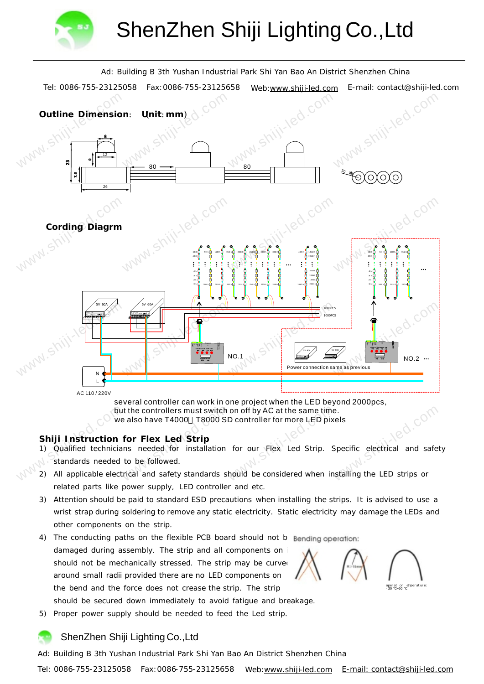



but the controllers must switch on off by AC at the same time.

we also have T4000 T8000 SD controller for more LED pixels

**Shiji Instruction for Flex Led Strip**

- but<br>we<br>Shiji-lnstruction<br>1) Qualified technician<br>standards needed<br>2) All applicable electr It the controllers must switch on off by AC at the same time<br>
be also have T4000 T8000 SD controller for more LED pix<br>
for Flex Led Strip<br>
ins needed for installation for our Flex Led Strip.<br>
to be followed.<br>
Itical and sa 1) Qualified technicians needed for installation for our Flex Led Strip. Specific electrical and safety standards needed to be followed.
	- 2) All applicable electrical and safety standards should be considered when installing the LED strips or related parts like power supply, LED controller and etc.
	- 3) Attention should be paid to standard ESD precautions when installing the strips. It is advised to use a wrist strap during soldering to remove any static electricity. Static electricity may damage the LEDs and other components on the strip.
	- 4) The conducting paths on the flexible PCB board should not b Bending operation: damaged during assembly. The strip and all components on i should not be mechanically stressed. The strip may be curved around small radii provided there are no LED components on the bend and the force does not crease the strip. The strip

should be secured down immediately to avoid fatigue and breakage.

5) Proper power supply should be needed to feed the Led strip.

## ShenZhen Shiji Lighting Co.,Ltd

Ad: Building B 3th Yushan Industrial Park Shi Yan Bao An District Shenzhen China

Tel: 0086-755-23125058 Fax:0086-755-23125658 Web:www.shiji-led.com E-mail: contact@shiji-led.com

operation emperature:<br>-30 ~-50